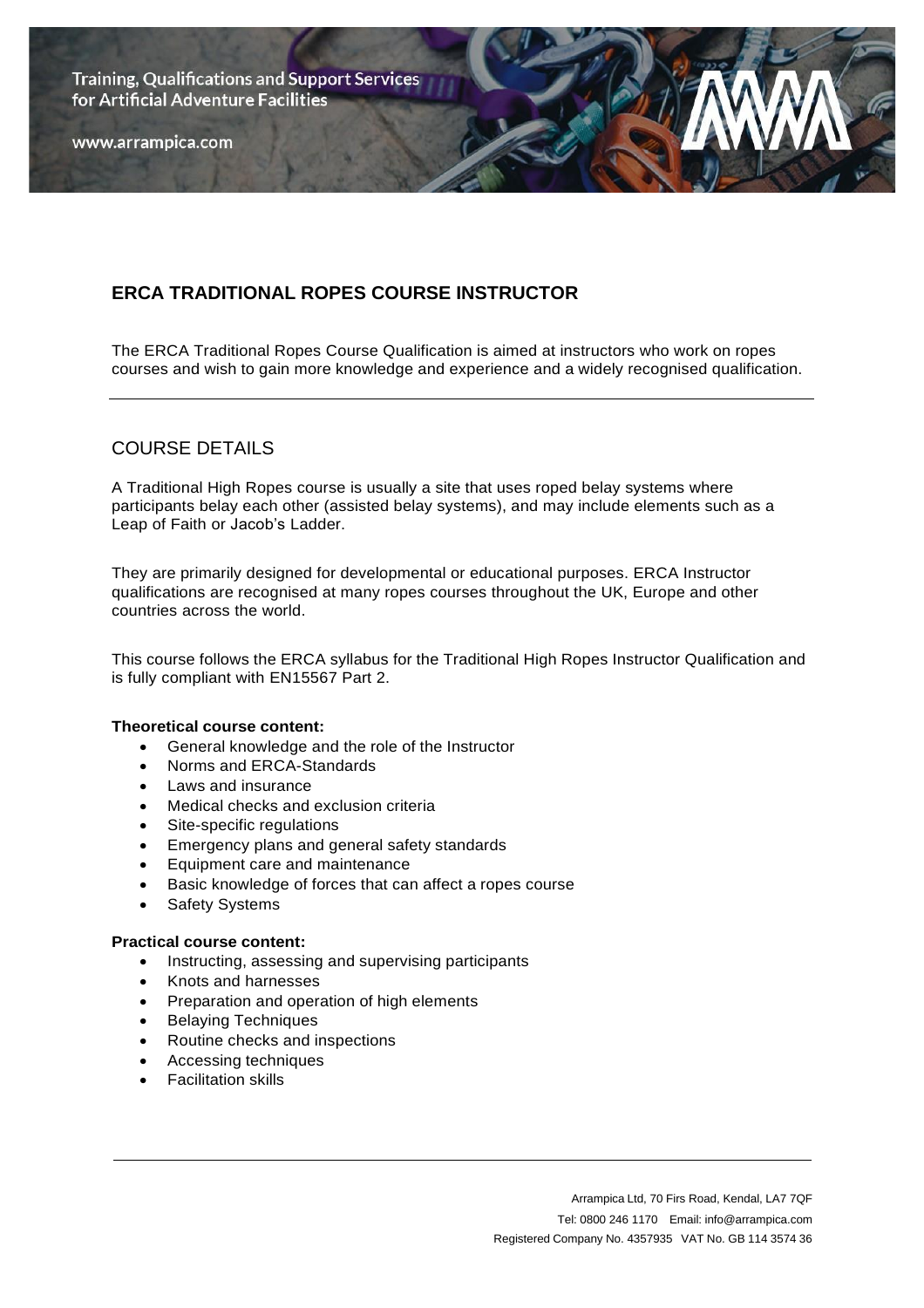**Training, Qualifications and Support Services** for Artificial Adventure Facilities

www.arrampica.com

# **ERCA TRADITIONAL ROPES COURSE INSTRUCTOR**

The ERCA Traditional Ropes Course Qualification is aimed at instructors who work on ropes courses and wish to gain more knowledge and experience and a widely recognised qualification.

### COURSE DETAILS

A Traditional High Ropes course is usually a site that uses roped belay systems where participants belay each other (assisted belay systems), and may include elements such as a Leap of Faith or Jacob's Ladder.

They are primarily designed for developmental or educational purposes. ERCA Instructor qualifications are recognised at many ropes courses throughout the UK, Europe and other countries across the world.

This course follows the ERCA syllabus for the Traditional High Ropes Instructor Qualification and is fully compliant with EN15567 Part 2.

#### **Theoretical course content:**

- General knowledge and the role of the Instructor
- Norms and ERCA-Standards
- Laws and insurance
- Medical checks and exclusion criteria
- Site-specific regulations
- Emergency plans and general safety standards
- Equipment care and maintenance
- Basic knowledge of forces that can affect a ropes course
- Safety Systems

#### **Practical course content:**

- Instructing, assessing and supervising participants
- Knots and harnesses
- Preparation and operation of high elements
- Belaying Techniques
- Routine checks and inspections
- Accessing techniques
- Facilitation skills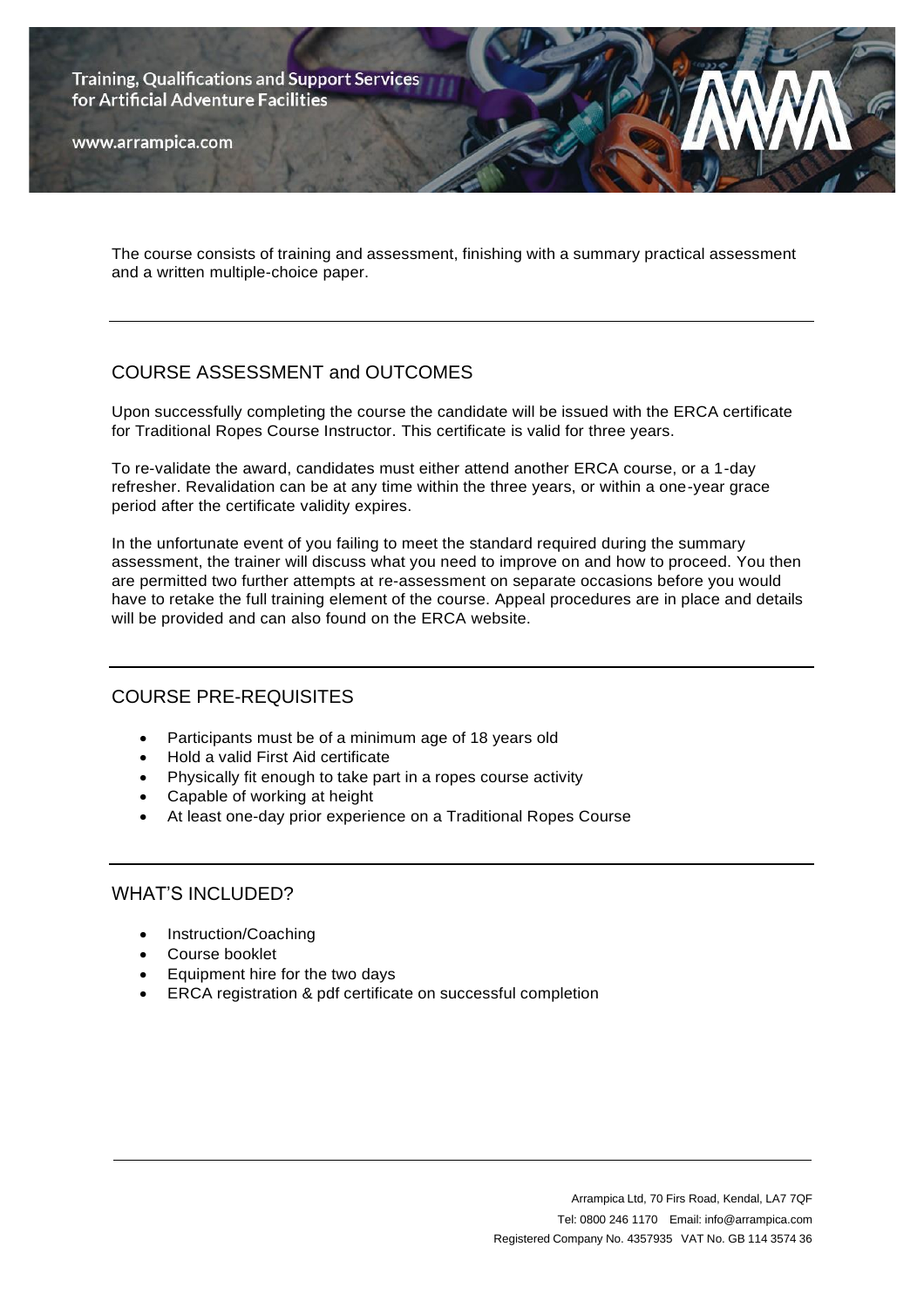**Training, Qualifications and Support Services** for Artificial Adventure Facilities

www.arrampica.com

The course consists of training and assessment, finishing with a summary practical assessment and a written multiple-choice paper.

# COURSE ASSESSMENT and OUTCOMES

Upon successfully completing the course the candidate will be issued with the ERCA certificate for Traditional Ropes Course Instructor. This certificate is valid for three years.

To re-validate the award, candidates must either attend another ERCA course, or a 1-day refresher. Revalidation can be at any time within the three years, or within a one-year grace period after the certificate validity expires.

In the unfortunate event of you failing to meet the standard required during the summary assessment, the trainer will discuss what you need to improve on and how to proceed. You then are permitted two further attempts at re-assessment on separate occasions before you would have to retake the full training element of the course. Appeal procedures are in place and details will be provided and can also found on the ERCA website.

### COURSE PRE-REQUISITES

- Participants must be of a minimum age of 18 years old
- Hold a valid First Aid certificate
- Physically fit enough to take part in a ropes course activity
- Capable of working at height
- At least one-day prior experience on a Traditional Ropes Course

#### WHAT'S INCLUDED?

- Instruction/Coaching
- Course booklet
- Equipment hire for the two days
- ERCA registration & pdf certificate on successful completion